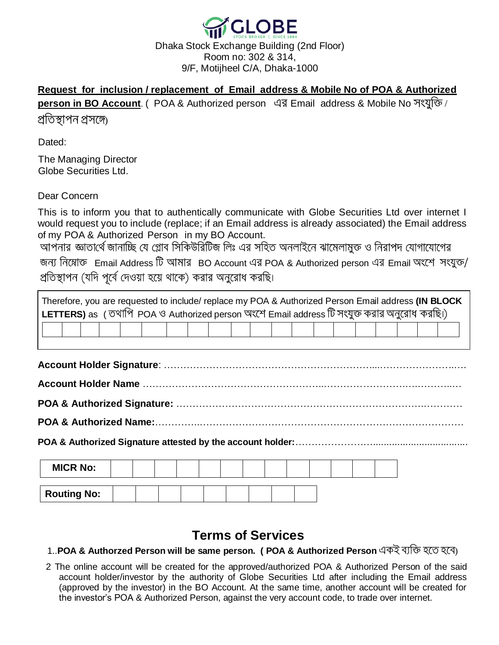

## **Request for inclusion / replacement of Email address & Mobile No of POA & Authorized**

**person in BO Account**. ( POA & Authorized person এর Email address & Mobile No সংযুক্তি /

প্ৰতিস্থাপন প্ৰসঙ্গে

Dated:

The Managing Director Globe Securities Ltd.

Dear Concern

This is to inform you that to authentically communicate with Globe Securities Ltd over internet I would request you to include (replace; if an Email address is already associated) the Email address of my POA & Authorized Person in my BO Account.

জন্য নিম্নোক্ত Email Address টি আমার BO Account এর POA & Authorized person এর Email অংশে সংযুক্ত/ প্রতিস্থাপন (যদি পূর্বে দেওয়া হয়ে থাকে) করার অনুরোধ করছি।

| Therefore, you are requested to include/ replace my POA & Authorized Person Email address (IN BLOCK<br>LETTERS) as (তথাপি POA ও Authorized person অংশে Email address টি সংযুক্ত করার অনুরোধ করছি।) |  |  |  |  |  |  |  |  |  |  |  |  |  |  |  |
|----------------------------------------------------------------------------------------------------------------------------------------------------------------------------------------------------|--|--|--|--|--|--|--|--|--|--|--|--|--|--|--|
|                                                                                                                                                                                                    |  |  |  |  |  |  |  |  |  |  |  |  |  |  |  |
|                                                                                                                                                                                                    |  |  |  |  |  |  |  |  |  |  |  |  |  |  |  |
|                                                                                                                                                                                                    |  |  |  |  |  |  |  |  |  |  |  |  |  |  |  |
|                                                                                                                                                                                                    |  |  |  |  |  |  |  |  |  |  |  |  |  |  |  |
|                                                                                                                                                                                                    |  |  |  |  |  |  |  |  |  |  |  |  |  |  |  |
| <b>MICR No:</b>                                                                                                                                                                                    |  |  |  |  |  |  |  |  |  |  |  |  |  |  |  |
| <b>Routing No:</b>                                                                                                                                                                                 |  |  |  |  |  |  |  |  |  |  |  |  |  |  |  |

## **Terms of Services**

1..**POA & Authorzed Person will be same person. ( POA & Authorized Person** )

2 The online account will be created for the approved/authorized POA & Authorized Person of the said account holder/investor by the authority of Globe Securities Ltd after including the Email address (approved by the investor) in the BO Account. At the same time, another account will be created for the investor's POA & Authorized Person, against the very account code, to trade over internet.